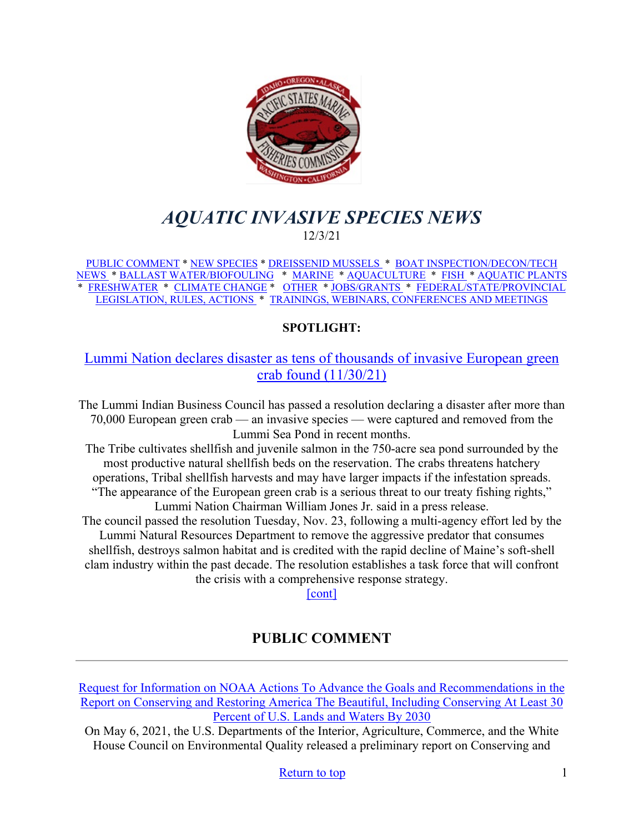<span id="page-0-0"></span>

# *AQUATIC INVASIVE SPECIES NEWS* 12/3/21

[PUBLIC COMMENT](#page-0-1) \* [NEW SPECIES](#page-1-0) \* [DREISSENID MUSSELS](#page-1-1) \* [BOAT INSPECTION/DECON/TECH](#page-2-0)  [NEWS](#page-2-0) [\\* BALLAST WATER/BIOFOULING](#page-3-0) \* [MARINE](#page-4-0) \* [AQUACULTURE](#page-4-1) \* [FISH](#page-5-0) \* [AQUATIC PLANTS](#page-5-1)  \* [FRESHWATER](#page-6-0) \* [CLIMATE CHANGE](#page-6-1) \* [OTHER](#page-6-2) \* [JOBS/GRANTS](#page-9-0) \* [FEDERAL/STATE/PROVINCIAL](#page-13-0)  [LEGISLATION, RULES, ACTIONS](#page-13-0) \* [TRAININGS, WEBINARS, CONFERENCES AND MEETINGS](#page-17-0) 

## **SPOTLIGHT:**

## [Lummi Nation declares disaster as tens of thousands of invasive European green](https://www.thenewstribune.com/news/state/washington/article256140892.html#storylink=cpy)  [crab found \(11/30/21\)](https://www.thenewstribune.com/news/state/washington/article256140892.html#storylink=cpy)

The Lummi Indian Business Council has passed a resolution declaring a disaster after more than 70,000 European green crab — an invasive species — were captured and removed from the Lummi Sea Pond in recent months.

The Tribe cultivates shellfish and juvenile salmon in the 750-acre sea pond surrounded by the most productive natural shellfish beds on the reservation. The crabs threatens hatchery operations, Tribal shellfish harvests and may have larger impacts if the infestation spreads. "The appearance of the European green crab is a serious threat to our treaty fishing rights," Lummi Nation Chairman William Jones Jr. said in a press release.

The council passed the resolution Tuesday, Nov. 23, following a multi-agency effort led by the Lummi Natural Resources Department to remove the aggressive predator that consumes shellfish, destroys salmon habitat and is credited with the rapid decline of Maine's soft-shell clam industry within the past decade. The resolution establishes a task force that will confront the crisis with a comprehensive response strategy.

[\[cont\]](https://www.thenewstribune.com/news/state/washington/article256140892.html#storylink=cpy)

# **PUBLIC COMMENT**

<span id="page-0-1"></span>[Request for Information on NOAA Actions To Advance the Goals and Recommendations in the](https://www.federalregister.gov/documents/2021/10/29/2021-23590/request-for-information-on-noaa-actions-to-advance-the-goals-and-recommendations-in-the-report-on)  [Report on Conserving and Restoring America The Beautiful, Including Conserving At Least 30](https://www.federalregister.gov/documents/2021/10/29/2021-23590/request-for-information-on-noaa-actions-to-advance-the-goals-and-recommendations-in-the-report-on)  [Percent of U.S. Lands and Waters By 2030](https://www.federalregister.gov/documents/2021/10/29/2021-23590/request-for-information-on-noaa-actions-to-advance-the-goals-and-recommendations-in-the-report-on)

On May 6, 2021, the U.S. Departments of the Interior, Agriculture, Commerce, and the White House Council on Environmental Quality released a preliminary report on Conserving and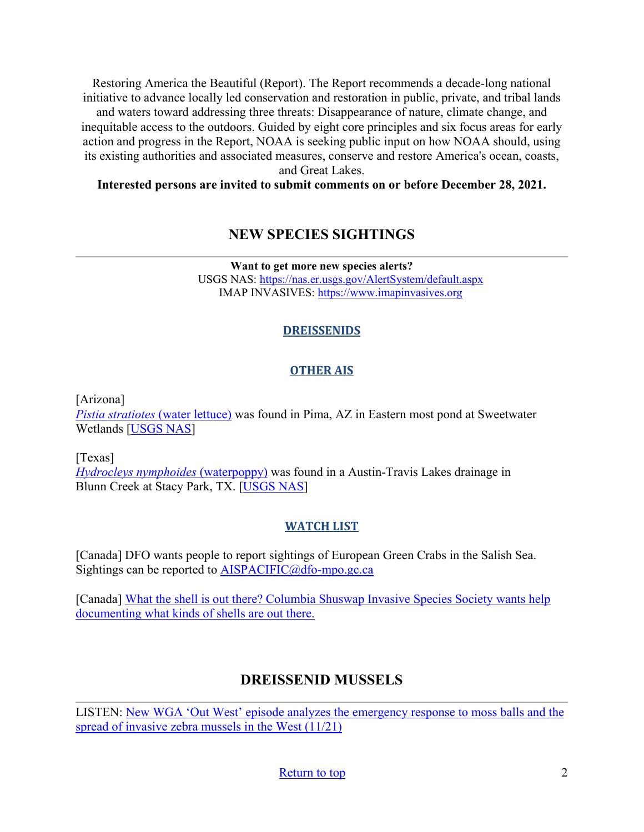Restoring America the Beautiful (Report). The Report recommends a decade-long national initiative to advance locally led conservation and restoration in public, private, and tribal lands and waters toward addressing three threats: Disappearance of nature, climate change, and inequitable access to the outdoors. Guided by eight core principles and six focus areas for early action and progress in the Report, NOAA is seeking public input on how NOAA should, using its existing authorities and associated measures, conserve and restore America's ocean, coasts, and Great Lakes.

#### <span id="page-1-0"></span>**Interested persons are invited to submit comments on or before December 28, 2021.**

## **NEW SPECIES SIGHTINGS**

**Want to get more new species alerts?** USGS NAS:<https://nas.er.usgs.gov/AlertSystem/default.aspx> IMAP INVASIVES: [https://www.imapinvasives.org](https://www.imapinvasives.org/)

#### **DREISSENIDS**

#### **OTHER AIS**

[Arizona]

*[Pistia stratiotes](https://nas.er.usgs.gov/queries/SpResults.aspx?SpeciesID=1099)* (water lettuce) was found in Pima, AZ in Eastern most pond at Sweetwater Wetlands [\[USGS NAS\]](https://nas.er.usgs.gov/queries/specimenviewer.aspx?SpecimenID=1670500)

[Texas]

*[Hydrocleys nymphoides](https://nas.er.usgs.gov/queries/SpResults.aspx?SpeciesID=1101)* (waterpoppy) was found in a Austin-Travis Lakes drainage in Blunn Creek at Stacy Park, TX. [\[USGS NAS\]](https://nas.er.usgs.gov/queries/specimenviewer.aspx?SpecimenID=1670535)

#### **WATCH LIST**

[Canada] DFO wants people to report sightings of European Green Crabs in the Salish Sea. Sightings can be reported to [AISPACIFIC@dfo-mpo.gc.ca](mailto:AISPACIFIC@dfo-mpo.gc.ca)

[Canada] [What the shell is out there? Columbia Shuswap Invasive Species Society wants help](https://www.castanet.net/news/Salmon-Arm/344047/Columbia-Shuswap-Invasive-Species-Society-wants-help-documenting-what-kinds-of-shells-are-out-there)  [documenting what kinds of shells are out there.](https://www.castanet.net/news/Salmon-Arm/344047/Columbia-Shuswap-Invasive-Species-Society-wants-help-documenting-what-kinds-of-shells-are-out-there) 

# **DREISSENID MUSSELS**

<span id="page-1-1"></span>LISTEN: [New WGA 'Out West' episode analyzes the emergency response to moss balls and the](https://westgov.org/news/article/listen-new-out-west-episode-analyzes-the-emergency-response-to-moss-balls-and-the-spread-of-invasive-zebra-mussels-in-the-west)  [spread of invasive zebra mussels in the West \(11/21\)](https://westgov.org/news/article/listen-new-out-west-episode-analyzes-the-emergency-response-to-moss-balls-and-the-spread-of-invasive-zebra-mussels-in-the-west)

[Return to top](#page-0-0) 2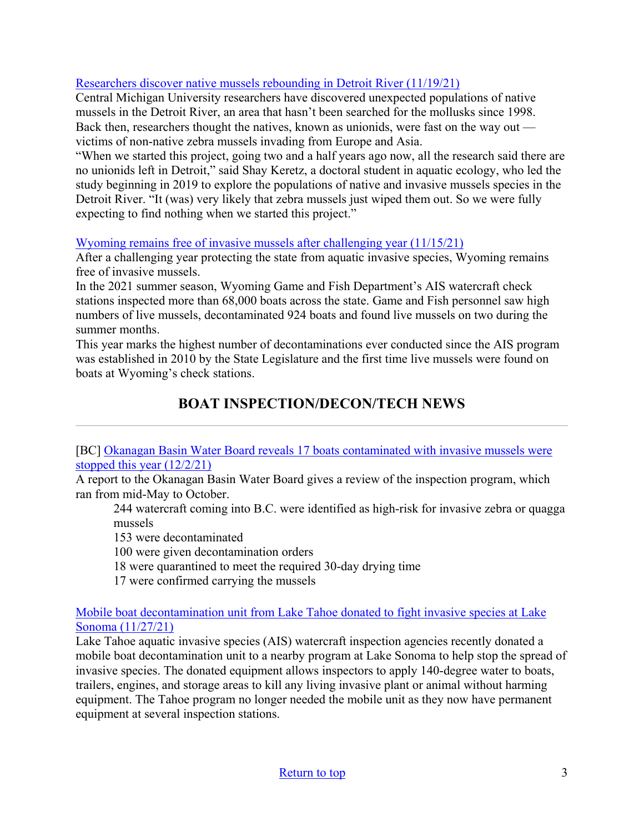### [Researchers discover native mussels rebounding in Detroit River \(11/19/21\)](https://news.jrn.msu.edu/2021/11/researchers-discover-native-mussels-rebounding-in-detroit-river/)

Central Michigan University researchers have discovered unexpected populations of native mussels in the Detroit River, an area that hasn't been searched for the mollusks since 1998. Back then, researchers thought the natives, known as unionids, were fast on the way out victims of non-native zebra mussels invading from Europe and Asia.

"When we started this project, going two and a half years ago now, all the research said there are no unionids left in Detroit," said Shay Keretz, a doctoral student in aquatic ecology, who led the study beginning in 2019 to explore the populations of native and invasive mussels species in the Detroit River. "It (was) very likely that zebra mussels just wiped them out. So we were fully expecting to find nothing when we started this project."

#### [Wyoming remains free of invasive mussels after challenging year \(11/15/21\)](https://buckrail.com/wyoming-free-of-invasive-mussels-after-challenging-year/)

After a challenging year protecting the state from aquatic invasive species, Wyoming remains free of invasive mussels.

In the 2021 summer season, Wyoming Game and Fish Department's AIS watercraft check stations inspected more than 68,000 boats across the state. Game and Fish personnel saw high numbers of live mussels, decontaminated 924 boats and found live mussels on two during the summer months.

This year marks the highest number of decontaminations ever conducted since the AIS program was established in 2010 by the State Legislature and the first time live mussels were found on boats at Wyoming's check stations.

# **BOAT INSPECTION/DECON/TECH NEWS**

<span id="page-2-0"></span>[BC] Okanagan Basin Water Board reveals 17 boats contaminated with invasive mussels were [stopped this year \(12/2/21\)](https://www.castanet.net/news/Vernon/353469/Okanagan-Basin-Water-Board-reveals-17-boats-contaminated-with-invasive-mussels-were-stopped-this-year)

A report to the Okanagan Basin Water Board gives a review of the inspection program, which ran from mid-May to October.

244 watercraft coming into B.C. were identified as high-risk for invasive zebra or quagga mussels

153 were decontaminated

100 were given decontamination orders

18 were quarantined to meet the required 30-day drying time

17 were confirmed carrying the mussels

[Mobile boat decontamination unit from Lake Tahoe donated to fight invasive species at Lake](https://www.southtahoenow.com/story/11/27/2021/mobile-boat-decontamination-unit-lake-tahoe-donated-fight-invasive-species-lake-son)  [Sonoma \(11/27/21\)](https://www.southtahoenow.com/story/11/27/2021/mobile-boat-decontamination-unit-lake-tahoe-donated-fight-invasive-species-lake-son)

Lake Tahoe aquatic invasive species (AIS) watercraft inspection agencies recently donated a mobile boat decontamination unit to a nearby program at Lake Sonoma to help stop the spread of invasive species. The donated equipment allows inspectors to apply 140-degree water to boats, trailers, engines, and storage areas to kill any living invasive plant or animal without harming equipment. The Tahoe program no longer needed the mobile unit as they now have permanent equipment at several inspection stations.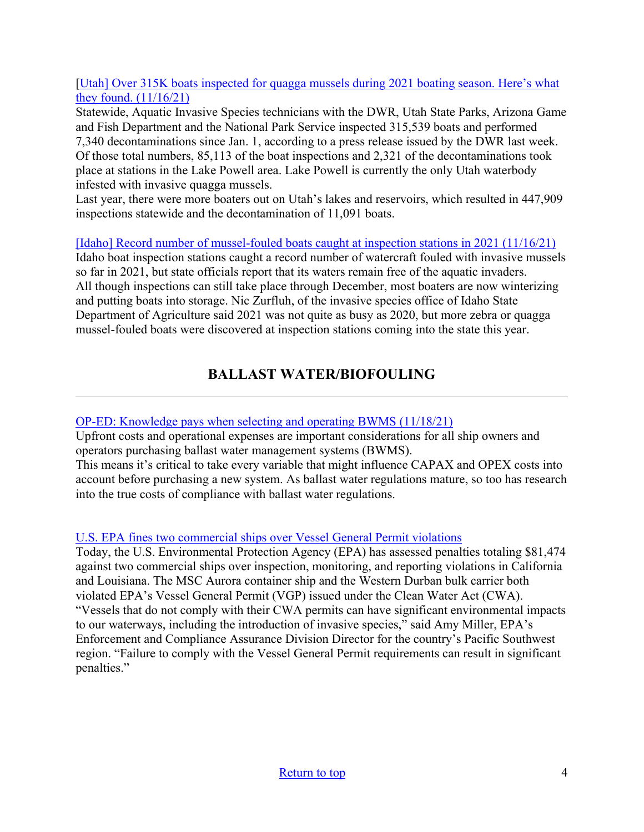[\[Utah\] Over 315K boats inspected for quagga mussels during 2021 boating season. Here's what](https://www.stgeorgeutah.com/news/archive/2021/11/16/prc-over-315k-boats-inspected-for-quagga-mussels-during-2021-boating-season-heres-what-they-found/#.Yak99C2ZP6Y)  they found.  $(11/16/21)$ 

Statewide, Aquatic Invasive Species technicians with the DWR, Utah State Parks, Arizona Game and Fish Department and the National Park Service inspected 315,539 boats and performed 7,340 decontaminations since Jan. 1, according to a press release issued by the DWR last week. Of those total numbers, 85,113 of the boat inspections and 2,321 of the decontaminations took place at stations in the Lake Powell area. Lake Powell is currently the only Utah waterbody infested with invasive quagga mussels.

Last year, there were more boaters out on Utah's lakes and reservoirs, which resulted in 447,909 inspections statewide and the decontamination of 11,091 boats.

[\[Idaho\] Record number of mussel-fouled boats caught at inspection stations in 2021 \(11/16/21\)](https://www.postregister.com/news/local/record-number-of-mussel-fouled-boats-caught-at-inspection-stations-in-2021/article_068d8b03-6c64-5d95-8e87-113d7d71fa68.html) Idaho boat inspection stations caught a record number of watercraft fouled with invasive mussels so far in 2021, but state officials report that its waters remain free of the aquatic invaders. All though inspections can still take place through December, most boaters are now winterizing and putting boats into storage. Nic Zurfluh, of the invasive species office of Idaho State Department of Agriculture said 2021 was not quite as busy as 2020, but more zebra or quagga mussel-fouled boats were discovered at inspection stations coming into the state this year.

# **BALLAST WATER/BIOFOULING**

## <span id="page-3-0"></span>[OP-ED: Knowledge pays when selecting and operating BWMS \(11/18/21\)](https://www.marinelog.com/perspectives/op-eds/op-ed-knowledge-pays-when-selecting-and-operating-bwms/)

Upfront costs and operational expenses are important considerations for all ship owners and operators purchasing ballast water management systems (BWMS).

This means it's critical to take every variable that might influence CAPAX and OPEX costs into account before purchasing a new system. As ballast water regulations mature, so too has research into the true costs of compliance with ballast water regulations.

## [U.S. EPA fines two commercial ships over Vessel General Permit violations](https://www.epa.gov/newsreleases/us-epa-fines-two-commercial-ships-over-vessel-general-permit-violations)

Today, the U.S. Environmental Protection Agency (EPA) has assessed penalties totaling \$81,474 against two commercial ships over inspection, monitoring, and reporting violations in California and Louisiana. The MSC Aurora container ship and the Western Durban bulk carrier both violated EPA's Vessel General Permit (VGP) issued under the Clean Water Act (CWA). "Vessels that do not comply with their CWA permits can have significant environmental impacts to our waterways, including the introduction of invasive species," said Amy Miller, EPA's Enforcement and Compliance Assurance Division Director for the country's Pacific Southwest region. "Failure to comply with the Vessel General Permit requirements can result in significant penalties."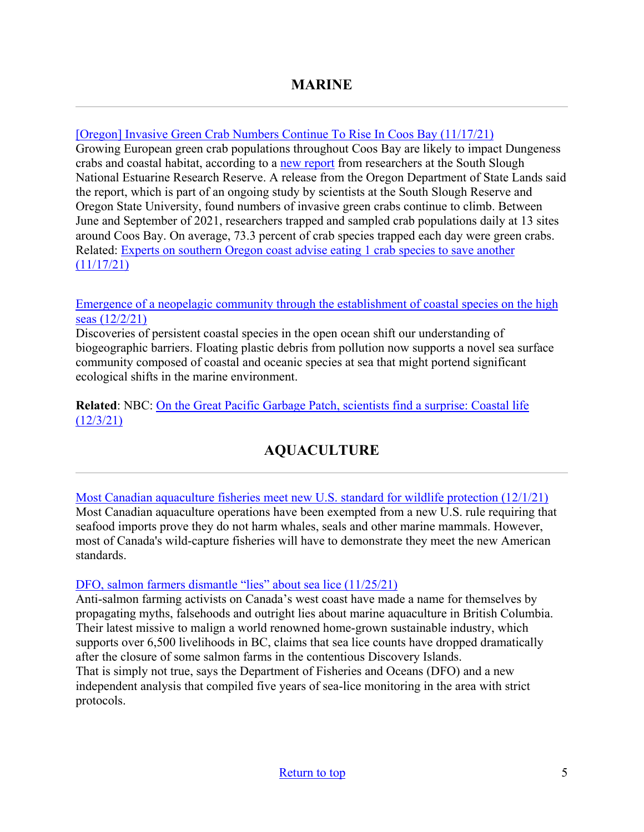<span id="page-4-0"></span>[\[Oregon\] Invasive Green Crab Numbers Continue To Rise In Coos Bay \(11/17/21\)](https://kqennewsradio.com/2021/11/17/invasive-green-crab-numbers-continue-to-rise-in-coos-bay/)

Growing European green crab populations throughout Coos Bay are likely to impact Dungeness crabs and coastal habitat, according to a [new report](https://www.oregon.gov/dsl/SS/Documents/Green_Crab_report_2021_Coos_Bay_SSNERR.pdf) from researchers at the South Slough National Estuarine Research Reserve. A release from the Oregon Department of State Lands said the report, which is part of an ongoing study by scientists at the South Slough Reserve and Oregon State University, found numbers of invasive green crabs continue to climb. Between June and September of 2021, researchers trapped and sampled crab populations daily at 13 sites around Coos Bay. On average, 73.3 percent of crab species trapped each day were green crabs. Related: [Experts on southern Oregon coast advise eating 1 crab species to save another](https://www.oregonlive.com/environment/2021/11/experts-on-southern-oregon-coast-advise-eating-1-crab-species-to-save-another.html)   $(11/17/21)$ 

#### [Emergence of a neopelagic community through the establishment of coastal species on the high](https://www.nature.com/articles/s41467-021-27188-6)  [seas \(12/2/21\)](https://www.nature.com/articles/s41467-021-27188-6)

Discoveries of persistent coastal species in the open ocean shift our understanding of biogeographic barriers. Floating plastic debris from pollution now supports a novel sea surface community composed of coastal and oceanic species at sea that might portend significant ecological shifts in the marine environment.

<span id="page-4-1"></span>**Related**: NBC: [On the Great Pacific Garbage Patch, scientists find a surprise: Coastal life](https://www.nbcnews.com/science/environment/great-pacific-garbage-patch-scientists-find-surprise-coastal-life-rcna7292)  [\(12/3/21\)](https://www.nbcnews.com/science/environment/great-pacific-garbage-patch-scientists-find-surprise-coastal-life-rcna7292) 

# **AQUACULTURE**

[Most Canadian aquaculture fisheries meet new U.S. standard for wildlife protection \(12/1/21\)](https://www.cbc.ca/news/canada/nova-scotia/most-canadian-aquaculture-fisheries-exempt-from-whale-list-1.6268890) Most Canadian aquaculture operations have been exempted from a new U.S. rule requiring that seafood imports prove they do not harm whales, seals and other marine mammals. However, most of Canada's wild-capture fisheries will have to demonstrate they meet the new American standards.

#### [DFO, salmon farmers dismantle "lies" about sea lice \(11/25/21\)](https://seawestnews.com/dfo-salmon-farmers-dismantle-lies-about-sea-lice/)

Anti-salmon farming activists on Canada's west coast have made a name for themselves by propagating myths, falsehoods and outright lies about marine aquaculture in British Columbia. Their latest missive to malign a world renowned home-grown sustainable industry, which supports over 6,500 livelihoods in BC, claims that sea lice counts have dropped dramatically after the closure of some salmon farms in the contentious Discovery Islands. That is simply not true, says the Department of Fisheries and Oceans (DFO) and a new independent analysis that compiled five years of sea-lice monitoring in the area with strict protocols.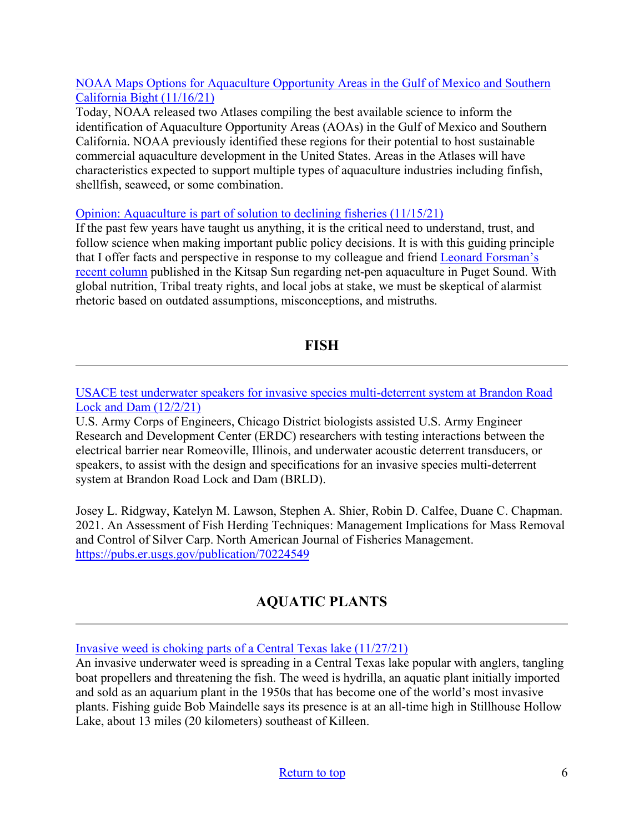#### [NOAA Maps Options for Aquaculture Opportunity Areas in the Gulf of Mexico and Southern](https://content.govdelivery.com/accounts/USNOAAFISHERIES/bulletins/2fc8890)  [California Bight \(11/16/21\)](https://content.govdelivery.com/accounts/USNOAAFISHERIES/bulletins/2fc8890)

Today, NOAA released two Atlases compiling the best available science to inform the identification of Aquaculture Opportunity Areas (AOAs) in the Gulf of Mexico and Southern California. NOAA previously identified these regions for their potential to host sustainable commercial aquaculture development in the United States. Areas in the Atlases will have characteristics expected to support multiple types of aquaculture industries including finfish, shellfish, seaweed, or some combination.

#### [Opinion: Aquaculture is part of solution to declining fisheries \(11/15/21\)](https://www.kitsapsun.com/story/opinion/columnists/2021/11/15/opinion-aquaculture-part-solution-declining-fisheries/6394929001/)

If the past few years have taught us anything, it is the critical need to understand, trust, and follow science when making important public policy decisions. It is with this guiding principle that I offer facts and perspective in response to my colleague and friend [Leonard Forsman's](https://www.kitsapsun.com/story/opinion/columnists/2021/11/01/opinion-rich-passage-net-pens-endanger-local-steelhead-and-salmon/6201066001/)  [recent column](https://www.kitsapsun.com/story/opinion/columnists/2021/11/01/opinion-rich-passage-net-pens-endanger-local-steelhead-and-salmon/6201066001/) published in the Kitsap Sun regarding net-pen aquaculture in Puget Sound. With global nutrition, Tribal treaty rights, and local jobs at stake, we must be skeptical of alarmist rhetoric based on outdated assumptions, misconceptions, and mistruths.

## **FISH**

<span id="page-5-1"></span><span id="page-5-0"></span>[USACE test underwater speakers for invasive species multi-deterrent system at Brandon Road](https://www.dvidshub.net/news/410333/usace-test-underwater-speakers-invasive-species-multi-deterrent-system-brandon-road-lock-and-dam)  [Lock and Dam \(12/2/21\)](https://www.dvidshub.net/news/410333/usace-test-underwater-speakers-invasive-species-multi-deterrent-system-brandon-road-lock-and-dam)

U.S. Army Corps of Engineers, Chicago District biologists assisted U.S. Army Engineer Research and Development Center (ERDC) researchers with testing interactions between the electrical barrier near Romeoville, Illinois, and underwater acoustic deterrent transducers, or speakers, to assist with the design and specifications for an invasive species multi-deterrent system at Brandon Road Lock and Dam (BRLD).

Josey L. Ridgway, Katelyn M. Lawson, Stephen A. Shier, Robin D. Calfee, Duane C. Chapman. 2021. An Assessment of Fish Herding Techniques: Management Implications for Mass Removal and Control of Silver Carp. North American Journal of Fisheries Management. <https://pubs.er.usgs.gov/publication/70224549>

# **AQUATIC PLANTS**

[Invasive weed is choking parts of a Central Texas lake \(11/27/21\)](https://www.star-telegram.com/news/state/texas/article256135647.html#storylink=cpy)

An invasive underwater weed is spreading in a Central Texas lake popular with anglers, tangling boat propellers and threatening the fish. The weed is hydrilla, an aquatic plant initially imported and sold as an aquarium plant in the 1950s that has become one of the world's most invasive plants. Fishing guide Bob Maindelle says its presence is at an all-time high in Stillhouse Hollow Lake, about 13 miles (20 kilometers) southeast of Killeen.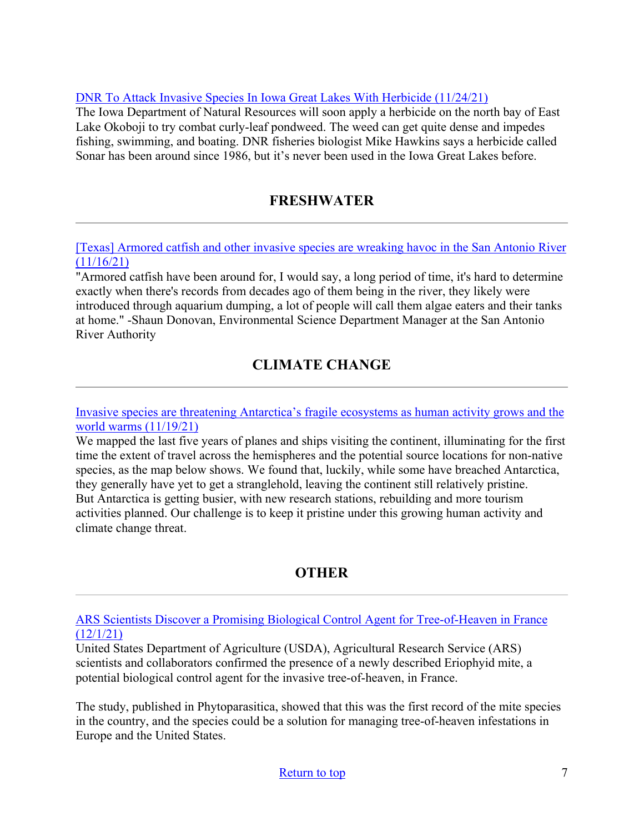#### [DNR To Attack Invasive Species In Iowa Great Lakes With Herbicide \(11/24/21\)](https://kiwaradio.com/local-news/dnr-to-attack-invasive-species-in-iowa-great-lakes-with-herbicide/)

The Iowa Department of Natural Resources will soon apply a herbicide on the north bay of East Lake Okoboji to try combat curly-leaf pondweed. The weed can get quite dense and impedes fishing, swimming, and boating. DNR fisheries biologist Mike Hawkins says a herbicide called Sonar has been around since 1986, but it's never been used in the Iowa Great Lakes before.

# **FRESHWATER**

<span id="page-6-0"></span>[\[Texas\] Armored catfish and other invasive species are wreaking havoc in the San Antonio River](https://cbsaustin.com/news/local/armored-catfish-and-other-invasive-species-are-wreaking-havoc-in-the-san-antonio-river)   $(11/16/21)$ 

"Armored catfish have been around for, I would say, a long period of time, it's hard to determine exactly when there's records from decades ago of them being in the river, they likely were introduced through aquarium dumping, a lot of people will call them algae eaters and their tanks at home." -Shaun Donovan, Environmental Science Department Manager at the San Antonio River Authority

# **CLIMATE CHANGE**

<span id="page-6-1"></span>[Invasive species are threatening Antarctica's fragile ecosystems as human activity grows and the](https://theconversation.com/invasive-species-are-threatening-antarcticas-fragile-ecosystems-as-human-activity-grows-and-the-world-warms-172058)  [world warms \(11/19/21\)](https://theconversation.com/invasive-species-are-threatening-antarcticas-fragile-ecosystems-as-human-activity-grows-and-the-world-warms-172058)

We mapped the last five years of planes and ships visiting the continent, illuminating for the first time the extent of travel across the hemispheres and the potential source locations for non-native species, as the map below shows. We found that, luckily, while some have breached Antarctica, they generally have yet to get a stranglehold, leaving the continent still relatively pristine. But Antarctica is getting busier, with new research stations, rebuilding and more tourism activities planned. Our challenge is to keep it pristine under this growing human activity and climate change threat.

# **OTHER**

<span id="page-6-2"></span>[ARS Scientists Discover a Promising Biological Control Agent for Tree-of-Heaven in France](https://content.govdelivery.com/accounts/USDAARS/bulletins/2feb358)  [\(12/1/21\)](https://content.govdelivery.com/accounts/USDAARS/bulletins/2feb358)

United States Department of Agriculture (USDA), Agricultural Research Service (ARS) scientists and collaborators confirmed the presence of a newly described Eriophyid mite, a potential biological control agent for the invasive tree-of-heaven, in France.

The study, published in Phytoparasitica, showed that this was the first record of the mite species in the country, and the species could be a solution for managing tree-of-heaven infestations in Europe and the United States.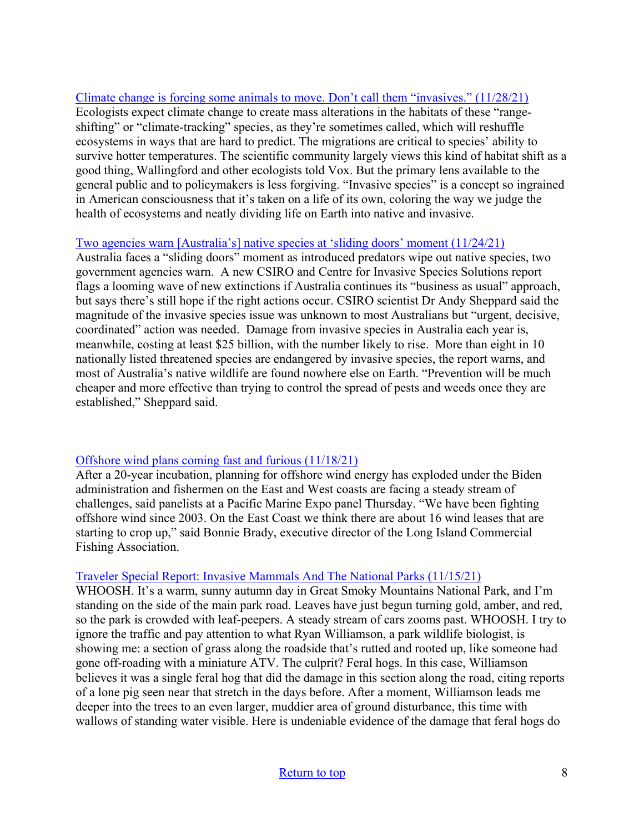[Climate change is forcing some animals to move. Don't call them "invasives." \(11/28/21\)](https://www.vox.com/down-to-earth/22796160/invasive-species-climate-change-range-shifting) Ecologists expect climate change to create mass alterations in the habitats of these "rangeshifting" or "climate-tracking" species, as they're sometimes called, which will reshuffle ecosystems in ways that are hard to predict. The migrations are critical to species' ability to survive hotter temperatures. The scientific community largely views this kind of habitat shift as a good thing, Wallingford and other ecologists told Vox. But the primary lens available to the general public and to policymakers is less forgiving. "Invasive species" is a concept so ingrained in American consciousness that it's taken on a life of its own, coloring the way we judge the health of ecosystems and neatly dividing life on Earth into native and invasive.

#### [Two agencies warn \[Australia's\] native species at 'sliding doors' moment \(11/24/21\)](https://www.themandarin.com.au/175924-two-agencies-warn-native-species-at-sliding-doors-moment/)

Australia faces a "sliding doors" moment as introduced predators wipe out native species, two government agencies warn. A new CSIRO and Centre for Invasive Species Solutions report flags a looming wave of new extinctions if Australia continues its "business as usual" approach, but says there's still hope if the right actions occur. CSIRO scientist Dr Andy Sheppard said the magnitude of the invasive species issue was unknown to most Australians but "urgent, decisive, coordinated" action was needed. Damage from invasive species in Australia each year is, meanwhile, costing at least \$25 billion, with the number likely to rise. More than eight in 10 nationally listed threatened species are endangered by invasive species, the report warns, and most of Australia's native wildlife are found nowhere else on Earth. "Prevention will be much cheaper and more effective than trying to control the spread of pests and weeds once they are established," Sheppard said.

#### [Offshore wind plans coming fast and furious \(11/18/21\)](https://www.nationalfisherman.com/national-international/offshore-wind-plans-coming-fast-and-furious/?utm_source=marketo&utm_medium=email&utm_campaign=newsletter&utm_content=newsletter&mkt_tok=NzU2LUZXSi0wNjEAAAGA2Aa2hajeCxE3LgtaX2f9yNTyvsMwi_3E4YhAU-Ya6YkaFQBElvIWL2mR2dvXsZgOPwyhB7H_tAYy2-aEZK8sla_yp3jgd_L6AGoJKvdsQfKE4g)

After a 20-year incubation, planning for offshore wind energy has exploded under the Biden administration and fishermen on the East and West coasts are facing a steady stream of challenges, said panelists at a Pacific Marine Expo panel Thursday. "We have been fighting offshore wind since 2003. On the East Coast we think there are about 16 wind leases that are starting to crop up," said Bonnie Brady, executive director of the Long Island Commercial Fishing Association.

#### [Traveler Special Report: Invasive Mammals And The National Parks \(11/15/21\)](https://www.nationalparkstraveler.org/2021/11/invasive-mammals-and-national-parks)

WHOOSH. It's a warm, sunny autumn day in Great Smoky Mountains National Park, and I'm standing on the side of the main park road. Leaves have just begun turning gold, amber, and red, so the park is crowded with leaf-peepers. A steady stream of cars zooms past. WHOOSH. I try to ignore the traffic and pay attention to what Ryan Williamson, a park wildlife biologist, is showing me: a section of grass along the roadside that's rutted and rooted up, like someone had gone off-roading with a miniature ATV. The culprit? Feral hogs. In this case, Williamson believes it was a single feral hog that did the damage in this section along the road, citing reports of a lone pig seen near that stretch in the days before. After a moment, Williamson leads me deeper into the trees to an even larger, muddier area of ground disturbance, this time with wallows of standing water visible. Here is undeniable evidence of the damage that feral hogs do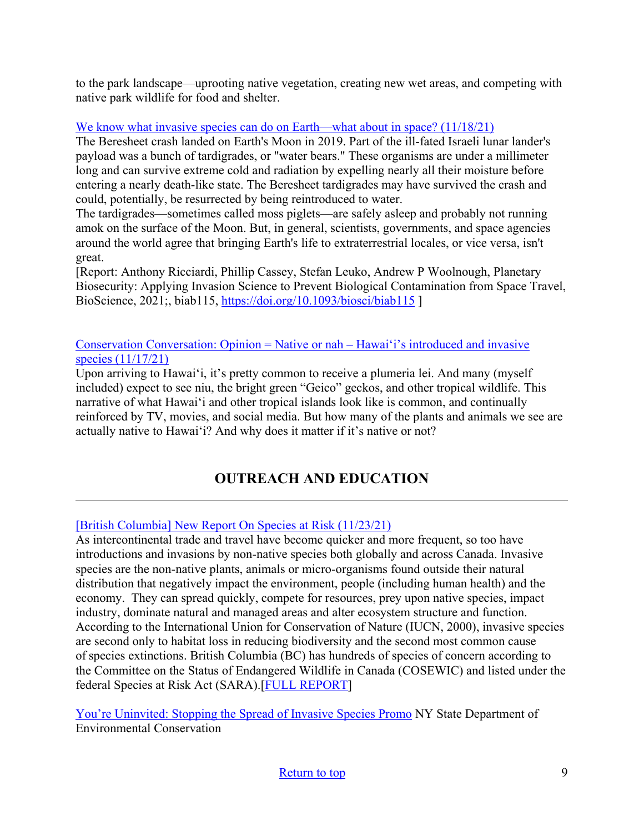to the park landscape—uprooting native vegetation, creating new wet areas, and competing with native park wildlife for food and shelter.

## [We know what invasive species can do on Earth—what about in space? \(11/18/21\)](https://arstechnica.com/science/2021/11/we-know-what-invasive-species-can-do-on-earth-what-about-in-space/)

The Beresheet crash landed on Earth's Moon in 2019. Part of the ill-fated Israeli lunar lander's payload was a bunch of tardigrades, or "water bears." These organisms are under a millimeter long and can survive extreme cold and radiation by expelling nearly all their moisture before entering a nearly death-like state. The Beresheet tardigrades may have survived the crash and could, potentially, be resurrected by being reintroduced to water.

The tardigrades—sometimes called moss piglets—are safely asleep and probably not running amok on the surface of the Moon. But, in general, scientists, governments, and space agencies around the world agree that bringing Earth's life to extraterrestrial locales, or vice versa, isn't great.

[Report: Anthony Ricciardi, Phillip Cassey, Stefan Leuko, Andrew P Woolnough, Planetary Biosecurity: Applying Invasion Science to Prevent Biological Contamination from Space Travel, BioScience, 2021;, biab115,<https://doi.org/10.1093/biosci/biab115>]

[Conservation Conversation: Opinion = Native or nah –](https://www.manoanow.org/kaleo/opinion/conservation-conversation-native-or-nah-hawai-i-s-introduced-and-invasive-species/article_541742c2-4836-11ec-a5a5-4b86760fbcbd.html) Hawaiʻi's introduced and invasive [species \(11/17/21\)](https://www.manoanow.org/kaleo/opinion/conservation-conversation-native-or-nah-hawai-i-s-introduced-and-invasive-species/article_541742c2-4836-11ec-a5a5-4b86760fbcbd.html)

Upon arriving to Hawai'i, it's pretty common to receive a plumeria lei. And many (myself included) expect to see niu, the bright green "Geico" geckos, and other tropical wildlife. This narrative of what Hawaiʻi and other tropical islands look like is common, and continually reinforced by TV, movies, and social media. But how many of the plants and animals we see are actually native to Hawaiʻi? And why does it matter if it's native or not?

# **OUTREACH AND EDUCATION**

## [\[British Columbia\] New Report On Species at Risk \(11/23/21\)](https://bcinvasives.ca/news/new-report-on-species-at-risk/)

As intercontinental trade and travel have become quicker and more frequent, so too have introductions and invasions by non-native species both globally and across Canada. Invasive species are the non-native plants, animals or micro-organisms found outside their natural distribution that negatively impact the environment, people (including human health) and the economy. They can spread quickly, compete for resources, prey upon native species, impact industry, dominate natural and managed areas and alter ecosystem structure and function. According to the International Union for Conservation of Nature (IUCN, 2000), invasive species are second only to habitat loss in reducing biodiversity and the second most common cause of species extinctions. British Columbia (BC) has hundreds of species of concern according to the Committee on the Status of Endangered Wildlife in Canada (COSEWIC) and listed under the federal Species at Risk Act (SARA).[\[FULL REPORT\]](https://bcinvasives.ca/wp-content/uploads/2021/11/A-Systematic-Assessment-of-Invasive-Species-Impacts-to-Species-at-Risk-in-BC-2021.pdf)

[You're Uninvited: Stopping the Spread of Invasive Species Promo](https://www.youtube.com/watch?v=ek9XkV0mpJw) NY State Department of Environmental Conservation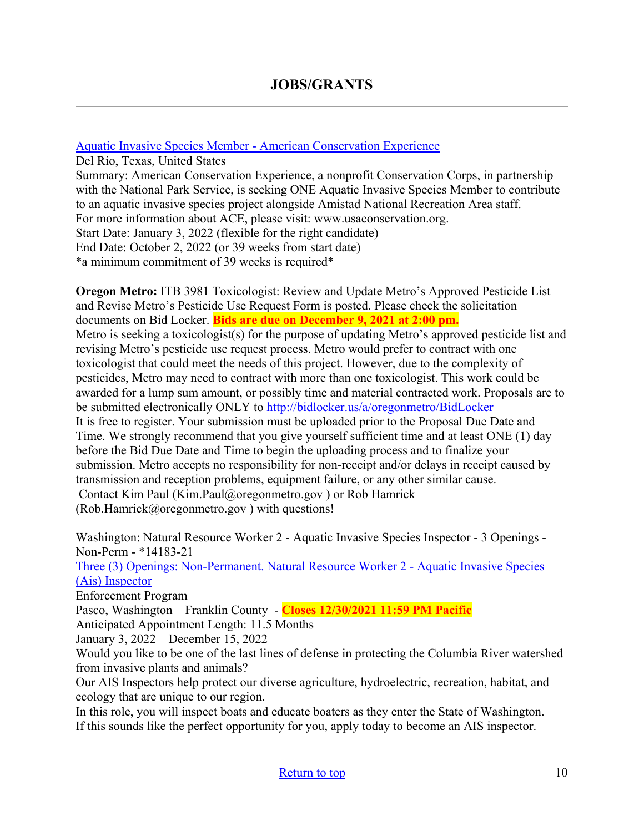#### <span id="page-9-0"></span>[Aquatic Invasive Species Member - American Conservation Experience](https://careers.wildlife.org/jobs/view/aquatic-invasive-species-member/59872176/?utm_term=2&utm_medium=email&utm_source=daily-alert&utm_campaign=job-alert-email-8764&utm_content=position-title)

Del Rio, Texas, United States Summary: American Conservation Experience, a nonprofit Conservation Corps, in partnership with the National Park Service, is seeking ONE Aquatic Invasive Species Member to contribute to an aquatic invasive species project alongside Amistad National Recreation Area staff. For more information about ACE, please visit: www.usaconservation.org. Start Date: January 3, 2022 (flexible for the right candidate) End Date: October 2, 2022 (or 39 weeks from start date) \*a minimum commitment of 39 weeks is required\*

**Oregon Metro:** ITB 3981 Toxicologist: Review and Update Metro's Approved Pesticide List and Revise Metro's Pesticide Use Request Form is posted. Please check the solicitation documents on Bid Locker. **Bids are due on December 9, 2021 at 2:00 pm.** Metro is seeking a toxicologist(s) for the purpose of updating Metro's approved pesticide list and revising Metro's pesticide use request process. Metro would prefer to contract with one toxicologist that could meet the needs of this project. However, due to the complexity of pesticides, Metro may need to contract with more than one toxicologist. This work could be awarded for a lump sum amount, or possibly time and material contracted work. Proposals are to be submitted electronically ONLY to<http://bidlocker.us/a/oregonmetro/BidLocker> It is free to register. Your submission must be uploaded prior to the Proposal Due Date and Time. We strongly recommend that you give yourself sufficient time and at least ONE (1) day before the Bid Due Date and Time to begin the uploading process and to finalize your submission. Metro accepts no responsibility for non-receipt and/or delays in receipt caused by transmission and reception problems, equipment failure, or any other similar cause. Contact Kim Paul (Kim.Paul@oregonmetro.gov ) or Rob Hamrick (Rob.Hamrick@oregonmetro.gov ) with questions!

Washington: Natural Resource Worker 2 - Aquatic Invasive Species Inspector - 3 Openings - Non-Perm - \*14183-21

[Three \(3\) Openings: Non-Permanent. Natural Resource Worker 2 - Aquatic Invasive Species](https://www.governmentjobs.com/careers/washington/jobs/3328482/natural-resource-worker-2-aquatic-invasive-species-inspector-3-openings-non)  [\(Ais\) Inspector](https://www.governmentjobs.com/careers/washington/jobs/3328482/natural-resource-worker-2-aquatic-invasive-species-inspector-3-openings-non)

Enforcement Program

Pasco, Washington – Franklin County - **Closes 12/30/2021 11:59 PM Pacific**

Anticipated Appointment Length: 11.5 Months

January 3, 2022 – December 15, 2022

Would you like to be one of the last lines of defense in protecting the Columbia River watershed from invasive plants and animals?

Our AIS Inspectors help protect our diverse agriculture, hydroelectric, recreation, habitat, and ecology that are unique to our region.

In this role, you will inspect boats and educate boaters as they enter the State of Washington. If this sounds like the perfect opportunity for you, apply today to become an AIS inspector.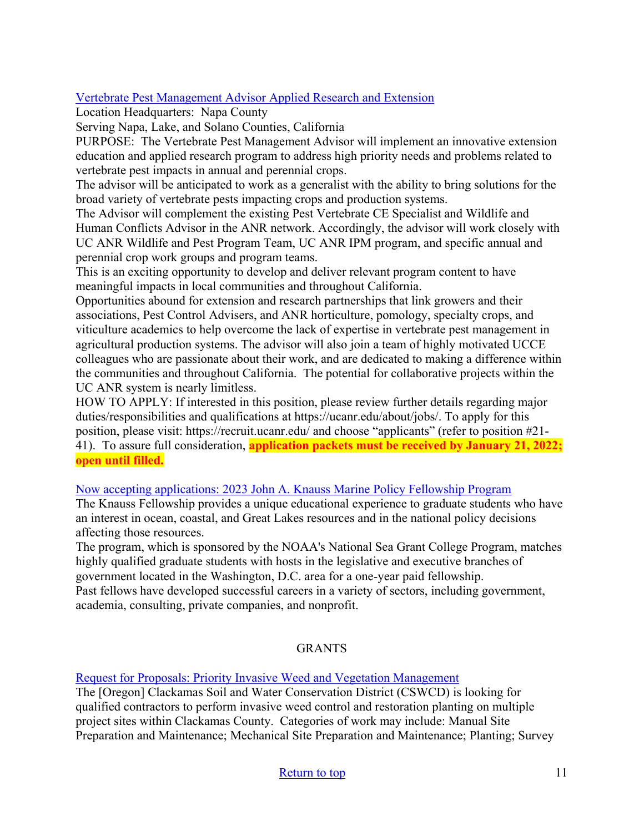## [Vertebrate Pest Management Advisor Applied Research and Extension](https://careers.wildlife.org/jobs/view/vertebrate-pest-management-advisor/59971851/?utm_medium=email&utm_source=getresponse&utm_content=This+Week%27s+eWildlifer+%26+TWS+Talks&utm_campaign=)

Location Headquarters: Napa County

Serving Napa, Lake, and Solano Counties, California

PURPOSE: The Vertebrate Pest Management Advisor will implement an innovative extension education and applied research program to address high priority needs and problems related to vertebrate pest impacts in annual and perennial crops.

The advisor will be anticipated to work as a generalist with the ability to bring solutions for the broad variety of vertebrate pests impacting crops and production systems.

The Advisor will complement the existing Pest Vertebrate CE Specialist and Wildlife and Human Conflicts Advisor in the ANR network. Accordingly, the advisor will work closely with UC ANR Wildlife and Pest Program Team, UC ANR IPM program, and specific annual and perennial crop work groups and program teams.

This is an exciting opportunity to develop and deliver relevant program content to have meaningful impacts in local communities and throughout California.

Opportunities abound for extension and research partnerships that link growers and their associations, Pest Control Advisers, and ANR horticulture, pomology, specialty crops, and viticulture academics to help overcome the lack of expertise in vertebrate pest management in agricultural production systems. The advisor will also join a team of highly motivated UCCE colleagues who are passionate about their work, and are dedicated to making a difference within the communities and throughout California. The potential for collaborative projects within the UC ANR system is nearly limitless.

HOW TO APPLY: If interested in this position, please review further details regarding major duties/responsibilities and qualifications at https://ucanr.edu/about/jobs/. To apply for this position, please visit: https://recruit.ucanr.edu/ and choose "applicants" (refer to position #21- 41). To assure full consideration, **application packets must be received by January 21, 2022; open until filled.**

[Now accepting applications: 2023 John A. Knauss Marine Policy Fellowship Program](https://caseagrant.ucsd.edu/fellowships/john-a-knauss-marine-policy-fellowship)

The Knauss Fellowship provides a unique educational experience to graduate students who have an interest in ocean, coastal, and Great Lakes resources and in the national policy decisions affecting those resources.

The program, which is sponsored by the NOAA's National Sea Grant College Program, matches highly qualified graduate students with hosts in the legislative and executive branches of government located in the Washington, D.C. area for a one-year paid fellowship. Past fellows have developed successful careers in a variety of sectors, including government, academia, consulting, private companies, and nonprofit.

#### GRANTS

[Request for Proposals: Priority Invasive Weed and Vegetation Management](https://conservationdistrict.org/2021/request-for-proposals-priority-invasive-weed-and-vegetation-management-2021.html)

The [Oregon] Clackamas Soil and Water Conservation District (CSWCD) is looking for qualified contractors to perform invasive weed control and restoration planting on multiple project sites within Clackamas County. Categories of work may include: Manual Site Preparation and Maintenance; Mechanical Site Preparation and Maintenance; Planting; Survey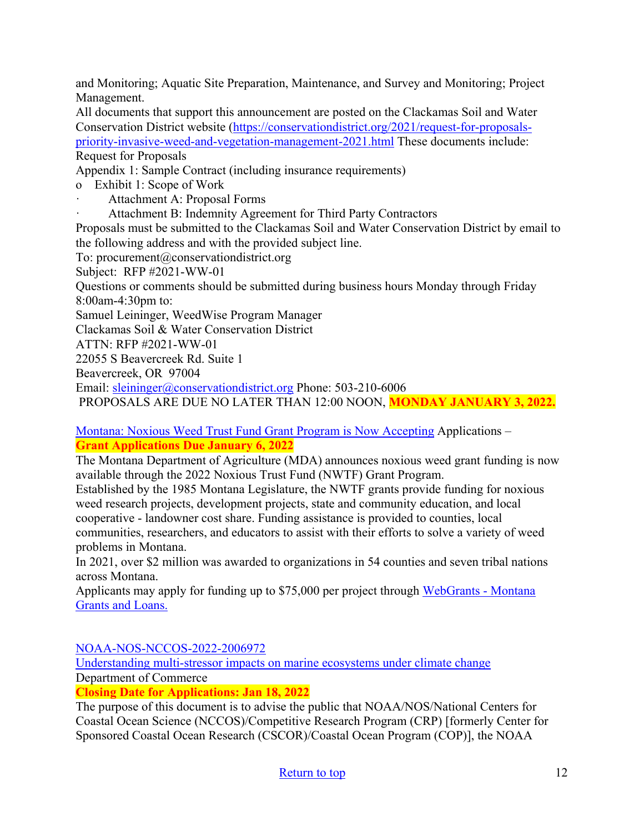and Monitoring; Aquatic Site Preparation, Maintenance, and Survey and Monitoring; Project Management.

All documents that support this announcement are posted on the Clackamas Soil and Water Conservation District website [\(https://conservationdistrict.org/2021/request-for-proposals](https://conservationdistrict.org/2021/request-for-proposals-priority-invasive-weed-and-vegetation-management-2021.html)[priority-invasive-weed-and-vegetation-management-2021.html](https://conservationdistrict.org/2021/request-for-proposals-priority-invasive-weed-and-vegetation-management-2021.html) These documents include: Request for Proposals

Appendix 1: Sample Contract (including insurance requirements)

o Exhibit 1: Scope of Work

Attachment A: Proposal Forms

Attachment B: Indemnity Agreement for Third Party Contractors

Proposals must be submitted to the Clackamas Soil and Water Conservation District by email to the following address and with the provided subject line.

To: procurement@conservationdistrict.org

Subject: RFP #2021-WW-01

Questions or comments should be submitted during business hours Monday through Friday 8:00am-4:30pm to:

Samuel Leininger, WeedWise Program Manager

Clackamas Soil & Water Conservation District

ATTN: RFP #2021-WW-01

22055 S Beavercreek Rd. Suite 1

Beavercreek, OR 97004

Email: [sleininger@conservationdistrict.org](mailto:sleininger@conservationdistrict.org) Phone: 503-210-6006

PROPOSALS ARE DUE NO LATER THAN 12:00 NOON, **MONDAY JANUARY 3, 2022.**

[Montana: Noxious Weed Trust Fund Grant Program is Now Accepting](https://agr.mt.gov/NoxiousWeedTrustFund) Applications – **Grant Applications Due January 6, 2022** 

The Montana Department of Agriculture (MDA) announces noxious weed grant funding is now available through the 2022 Noxious Trust Fund (NWTF) Grant Program.

Established by the 1985 Montana Legislature, the NWTF grants provide funding for noxious weed research projects, development projects, state and community education, and local cooperative - landowner cost share. Funding assistance is provided to counties, local communities, researchers, and educators to assist with their efforts to solve a variety of weed problems in Montana.

In 2021, over \$2 million was awarded to organizations in 54 counties and seven tribal nations across Montana.

Applicants may apply for funding up to \$75,000 per project through [WebGrants - Montana](https://agr.mt.gov/NoxiousWeedTrustFund)  [Grants and Loans.](https://agr.mt.gov/NoxiousWeedTrustFund) 

[NOAA-NOS-NCCOS-2022-2006972](https://www.grants.gov/web/grants/view-opportunity.html?oppId=334906) 

[Understanding multi-stressor impacts on marine ecosystems under climate change](https://www.grants.gov/web/grants/view-opportunity.html?oppId=334906) Department of Commerce

**Closing Date for Applications: Jan 18, 2022** 

The purpose of this document is to advise the public that NOAA/NOS/National Centers for Coastal Ocean Science (NCCOS)/Competitive Research Program (CRP) [formerly Center for Sponsored Coastal Ocean Research (CSCOR)/Coastal Ocean Program (COP)], the NOAA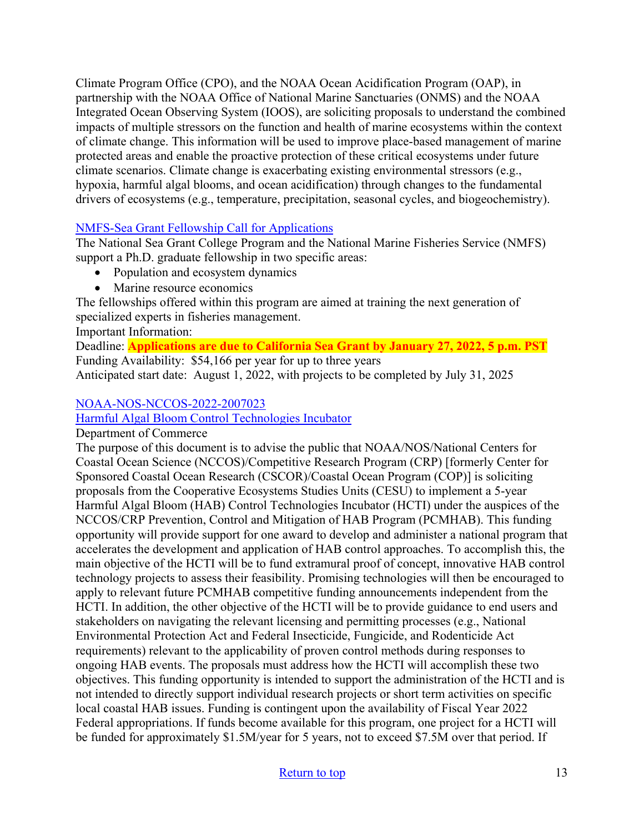Climate Program Office (CPO), and the NOAA Ocean Acidification Program (OAP), in partnership with the NOAA Office of National Marine Sanctuaries (ONMS) and the NOAA Integrated Ocean Observing System (IOOS), are soliciting proposals to understand the combined impacts of multiple stressors on the function and health of marine ecosystems within the context of climate change. This information will be used to improve place-based management of marine protected areas and enable the proactive protection of these critical ecosystems under future climate scenarios. Climate change is exacerbating existing environmental stressors (e.g., hypoxia, harmful algal blooms, and ocean acidification) through changes to the fundamental drivers of ecosystems (e.g., temperature, precipitation, seasonal cycles, and biogeochemistry).

#### [NMFS-Sea Grant Fellowship Call for Applications](https://caseagrant.ucsd.edu/fellowships/2022-nmfs-sea-grant-fellowship-in-population-and-ecosystem-dynamics-and-marine-resource)

The National Sea Grant College Program and the National Marine Fisheries Service (NMFS) support a Ph.D. graduate fellowship in two specific areas:

- Population and ecosystem dynamics
- Marine resource economics

The fellowships offered within this program are aimed at training the next generation of specialized experts in fisheries management.

Important Information:

Deadline: **Applications are due to California Sea Grant by January 27, 2022, 5 p.m. PST** Funding Availability: \$54,166 per year for up to three years Anticipated start date: August 1, 2022, with projects to be completed by July 31, 2025

#### [NOAA-NOS-NCCOS-2022-2007023](https://www.grants.gov/web/grants/view-opportunity.html?oppId=335726)

[Harmful Algal Bloom Control Technologies Incubator](https://www.grants.gov/web/grants/view-opportunity.html?oppId=335726)

Department of Commerce

The purpose of this document is to advise the public that NOAA/NOS/National Centers for Coastal Ocean Science (NCCOS)/Competitive Research Program (CRP) [formerly Center for Sponsored Coastal Ocean Research (CSCOR)/Coastal Ocean Program (COP)] is soliciting proposals from the Cooperative Ecosystems Studies Units (CESU) to implement a 5-year Harmful Algal Bloom (HAB) Control Technologies Incubator (HCTI) under the auspices of the NCCOS/CRP Prevention, Control and Mitigation of HAB Program (PCMHAB). This funding opportunity will provide support for one award to develop and administer a national program that accelerates the development and application of HAB control approaches. To accomplish this, the main objective of the HCTI will be to fund extramural proof of concept, innovative HAB control technology projects to assess their feasibility. Promising technologies will then be encouraged to apply to relevant future PCMHAB competitive funding announcements independent from the HCTI. In addition, the other objective of the HCTI will be to provide guidance to end users and stakeholders on navigating the relevant licensing and permitting processes (e.g., National Environmental Protection Act and Federal Insecticide, Fungicide, and Rodenticide Act requirements) relevant to the applicability of proven control methods during responses to ongoing HAB events. The proposals must address how the HCTI will accomplish these two objectives. This funding opportunity is intended to support the administration of the HCTI and is not intended to directly support individual research projects or short term activities on specific local coastal HAB issues. Funding is contingent upon the availability of Fiscal Year 2022 Federal appropriations. If funds become available for this program, one project for a HCTI will be funded for approximately \$1.5M/year for 5 years, not to exceed \$7.5M over that period. If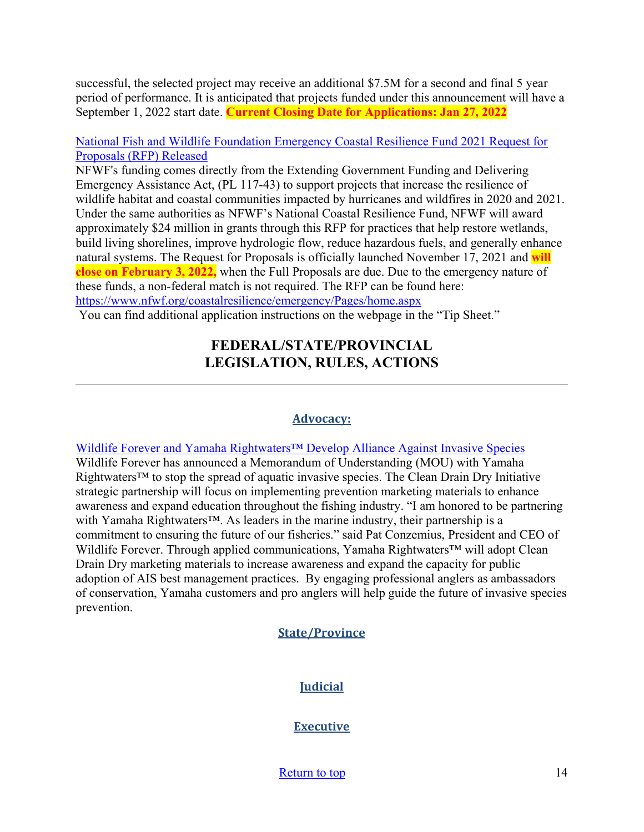successful, the selected project may receive an additional \$7.5M for a second and final 5 year period of performance. It is anticipated that projects funded under this announcement will have a September 1, 2022 start date. **Current Closing Date for Applications: Jan 27, 2022**

#### [National Fish and Wildlife Foundation Emergency Coastal Resilience Fund 2021 Request for](https://www.google.com/url?q=https://lnks.gd/l/eyJhbGciOiJIUzI1NiJ9.eyJidWxsZXRpbl9saW5rX2lkIjoxMDEsInVyaSI6ImJwMjpjbGljayIsImJ1bGxldGluX2lkIjoiMjAyMTEyMDIuNDk2NDEwNjEiLCJ1cmwiOiJodHRwczovL3d3dy5uZndmLm9yZy9jb2FzdGFscmVzaWxpZW5jZS9lbWVyZ2VuY3kvUGFnZXMvaG9tZS5hc3B4P3V0bV9tZWRpdW09ZW1haWwmdXRtX3NvdXJjZT1nb3ZkZWxpdmVyeSJ9.Ooh_DqGNJHSaRhURSbRM2TjOI7V-NfWpTfeNYm-WOy8/s/725557401/br/122097868443-l&source=gmail&ust=1638577950803000&usg=AOvVaw3u5_6c16DJQSkVnUkW7_Ql)  [Proposals \(RFP\) Released](https://www.google.com/url?q=https://lnks.gd/l/eyJhbGciOiJIUzI1NiJ9.eyJidWxsZXRpbl9saW5rX2lkIjoxMDEsInVyaSI6ImJwMjpjbGljayIsImJ1bGxldGluX2lkIjoiMjAyMTEyMDIuNDk2NDEwNjEiLCJ1cmwiOiJodHRwczovL3d3dy5uZndmLm9yZy9jb2FzdGFscmVzaWxpZW5jZS9lbWVyZ2VuY3kvUGFnZXMvaG9tZS5hc3B4P3V0bV9tZWRpdW09ZW1haWwmdXRtX3NvdXJjZT1nb3ZkZWxpdmVyeSJ9.Ooh_DqGNJHSaRhURSbRM2TjOI7V-NfWpTfeNYm-WOy8/s/725557401/br/122097868443-l&source=gmail&ust=1638577950803000&usg=AOvVaw3u5_6c16DJQSkVnUkW7_Ql)

NFWF's funding comes directly from the Extending Government Funding and Delivering Emergency Assistance Act, (PL 117-43) to support projects that increase the resilience of wildlife habitat and coastal communities impacted by hurricanes and wildfires in 2020 and 2021. Under the same authorities as NFWF's National Coastal Resilience Fund, NFWF will award approximately \$24 million in grants through this RFP for practices that help restore wetlands, build living shorelines, improve hydrologic flow, reduce hazardous fuels, and generally enhance natural systems. The Request for Proposals is officially launched November 17, 2021 and **will close on February 3, 2022,** when the Full Proposals are due. Due to the emergency nature of these funds, a non-federal match is not required. The RFP can be found here: <https://www.nfwf.org/coastalresilience/emergency/Pages/home.aspx>

<span id="page-13-0"></span>You can find additional application instructions on the webpage in the "Tip Sheet."

## **FEDERAL/STATE/PROVINCIAL LEGISLATION, RULES, ACTIONS**

#### **Advocacy:**

[Wildlife Forever and Yamaha Rightwaters™ Develop Alliance Against Invasive Species](https://www.bassresource.com/bass_fishing_123/invasive-species-102021.html) Wildlife Forever has announced a Memorandum of Understanding (MOU) with Yamaha Rightwaters<sup>™</sup> to stop the spread of aquatic invasive species. The Clean Drain Dry Initiative strategic partnership will focus on implementing prevention marketing materials to enhance awareness and expand education throughout the fishing industry. "I am honored to be partnering with Yamaha Rightwaters™. As leaders in the marine industry, their partnership is a commitment to ensuring the future of our fisheries." said Pat Conzemius, President and CEO of Wildlife Forever. Through applied communications, Yamaha Rightwaters<sup>™</sup> will adopt Clean Drain Dry marketing materials to increase awareness and expand the capacity for public adoption of AIS best management practices. By engaging professional anglers as ambassadors of conservation, Yamaha customers and pro anglers will help guide the future of invasive species prevention.

## **State/Province**

## **Judicial**

#### **Executive**

[Return to top](#page-0-0) 14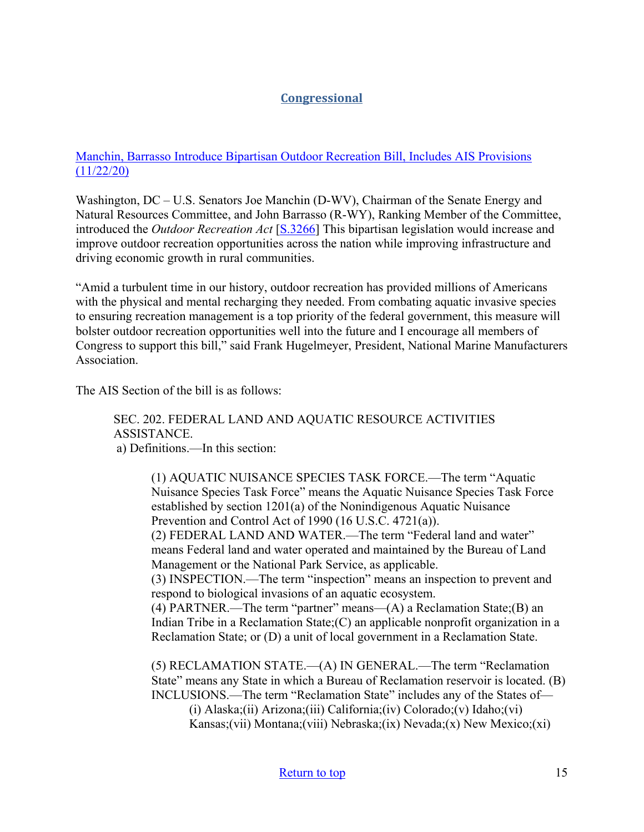## **Congressional**

#### [Manchin, Barrasso Introduce Bipartisan Outdoor Recreation Bill, Includes AIS Provisions](https://www.manchin.senate.gov/newsroom/press-releases/manchin-barrasso-introduce-bipartisan-outdoor-recreation-bill)  [\(11/22/20\)](https://www.manchin.senate.gov/newsroom/press-releases/manchin-barrasso-introduce-bipartisan-outdoor-recreation-bill)

Washington, DC – U.S. Senators Joe Manchin (D-WV), Chairman of the Senate Energy and Natural Resources Committee, and John Barrasso (R-WY), Ranking Member of the Committee, introduced the *Outdoor Recreation Act* [\[S.3266\]](https://www.congress.gov/bill/117th-congress/senate-bill/3266) This bipartisan legislation would increase and improve outdoor recreation opportunities across the nation while improving infrastructure and driving economic growth in rural communities.

"Amid a turbulent time in our history, outdoor recreation has provided millions of Americans with the physical and mental recharging they needed. From combating aquatic invasive species to ensuring recreation management is a top priority of the federal government, this measure will bolster outdoor recreation opportunities well into the future and I encourage all members of Congress to support this bill," said Frank Hugelmeyer, President, National Marine Manufacturers Association.

The AIS Section of the bill is as follows:

SEC. 202. FEDERAL LAND AND AQUATIC RESOURCE ACTIVITIES ASSISTANCE. a) Definitions.—In this section:

(1) AQUATIC NUISANCE SPECIES TASK FORCE.—The term "Aquatic Nuisance Species Task Force" means the Aquatic Nuisance Species Task Force established by section 1201(a) of the Nonindigenous Aquatic Nuisance Prevention and Control Act of 1990 (16 U.S.C. 4721(a)).

(2) FEDERAL LAND AND WATER.—The term "Federal land and water" means Federal land and water operated and maintained by the Bureau of Land Management or the National Park Service, as applicable.

(3) INSPECTION.—The term "inspection" means an inspection to prevent and respond to biological invasions of an aquatic ecosystem.

(4) PARTNER.—The term "partner" means—(A) a Reclamation State;(B) an Indian Tribe in a Reclamation State;(C) an applicable nonprofit organization in a Reclamation State; or (D) a unit of local government in a Reclamation State.

(5) RECLAMATION STATE.—(A) IN GENERAL.—The term "Reclamation State" means any State in which a Bureau of Reclamation reservoir is located. (B) INCLUSIONS.—The term "Reclamation State" includes any of the States of—

(i) Alaska;(ii) Arizona;(iii) California;(iv) Colorado;(v) Idaho;(vi) Kansas;(vii) Montana;(viii) Nebraska;(ix) Nevada;(x) New Mexico;(xi)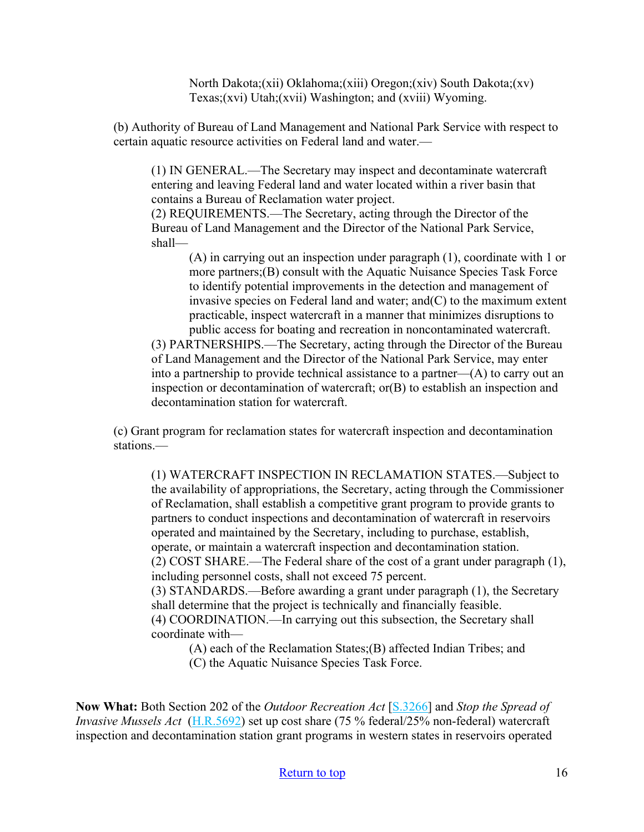North Dakota;(xii) Oklahoma;(xiii) Oregon;(xiv) South Dakota;(xv) Texas;(xvi) Utah;(xvii) Washington; and (xviii) Wyoming.

(b) Authority of Bureau of Land Management and National Park Service with respect to certain aquatic resource activities on Federal land and water.—

(1) IN GENERAL.—The Secretary may inspect and decontaminate watercraft entering and leaving Federal land and water located within a river basin that contains a Bureau of Reclamation water project.

(2) REQUIREMENTS.—The Secretary, acting through the Director of the Bureau of Land Management and the Director of the National Park Service, shall—

(A) in carrying out an inspection under paragraph (1), coordinate with 1 or more partners;(B) consult with the Aquatic Nuisance Species Task Force to identify potential improvements in the detection and management of invasive species on Federal land and water; and(C) to the maximum extent practicable, inspect watercraft in a manner that minimizes disruptions to public access for boating and recreation in noncontaminated watercraft.

(3) PARTNERSHIPS.—The Secretary, acting through the Director of the Bureau of Land Management and the Director of the National Park Service, may enter into a partnership to provide technical assistance to a partner— $(A)$  to carry out an inspection or decontamination of watercraft; or(B) to establish an inspection and decontamination station for watercraft.

(c) Grant program for reclamation states for watercraft inspection and decontamination stations.—

(1) WATERCRAFT INSPECTION IN RECLAMATION STATES.—Subject to the availability of appropriations, the Secretary, acting through the Commissioner of Reclamation, shall establish a competitive grant program to provide grants to partners to conduct inspections and decontamination of watercraft in reservoirs operated and maintained by the Secretary, including to purchase, establish, operate, or maintain a watercraft inspection and decontamination station. (2) COST SHARE.—The Federal share of the cost of a grant under paragraph (1), including personnel costs, shall not exceed 75 percent. (3) STANDARDS.—Before awarding a grant under paragraph (1), the Secretary shall determine that the project is technically and financially feasible. (4) COORDINATION.—In carrying out this subsection, the Secretary shall coordinate with—

(A) each of the Reclamation States;(B) affected Indian Tribes; and

(C) the Aquatic Nuisance Species Task Force.

**Now What:** Both Section 202 of the *Outdoor Recreation Act* [\[S.3266\]](https://www.congress.gov/bill/117th-congress/senate-bill/3266) and *Stop the Spread of Invasive Mussels Act* [\(H.R.5692\)](https://www.congress.gov/bill/117th-congress/house-bill/5692?q=%7B%22search%22%3A%5B%22H.R.5692%22%2C%22H.R.5692%22%5D%7D&s=2&r=1) set up cost share (75 % federal/25% non-federal) watercraft inspection and decontamination station grant programs in western states in reservoirs operated

#### [Return to top](#page-0-0) 16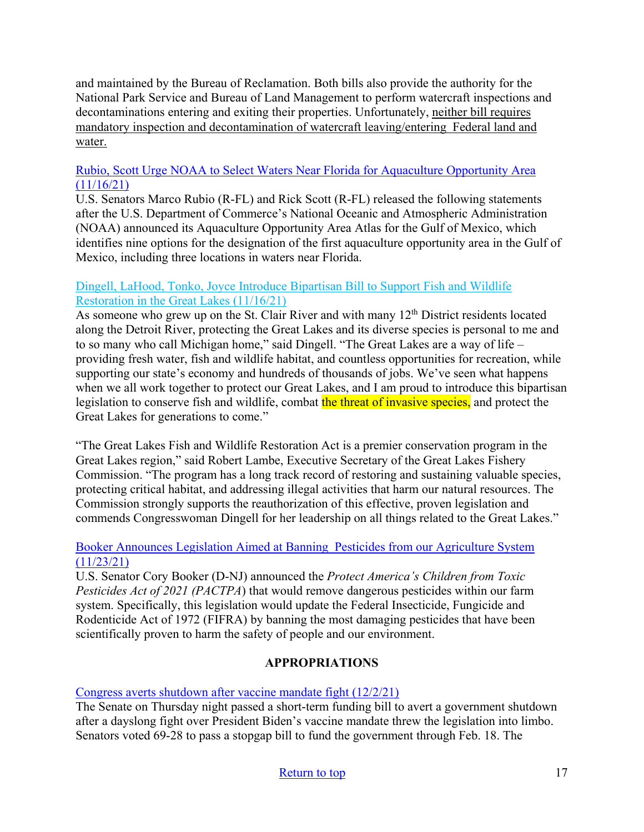and maintained by the Bureau of Reclamation. Both bills also provide the authority for the National Park Service and Bureau of Land Management to perform watercraft inspections and decontaminations entering and exiting their properties. Unfortunately, neither bill requires mandatory inspection and decontamination of watercraft leaving/entering Federal land and water.

#### [Rubio, Scott Urge NOAA to Select Waters Near Florida for Aquaculture Opportunity Area](https://www.rubio.senate.gov/public/index.cfm/press-releases?id=ABB4EFC1-A71C-41F1-BD51-B1E18D09447A)   $(11/16/21)$

U.S. Senators Marco Rubio (R-FL) and Rick Scott (R-FL) released the following statements after the U.S. Department of Commerce's National Oceanic and Atmospheric Administration (NOAA) announced its Aquaculture Opportunity Area Atlas for the Gulf of Mexico, which identifies nine options for the designation of the first aquaculture opportunity area in the Gulf of Mexico, including three locations in waters near Florida.

#### [Dingell, LaHood, Tonko, Joyce Introduce Bipartisan Bill to Support Fish and Wildlife](https://debbiedingell.house.gov/news/documentsingle.aspx?DocumentID=3285)  [Restoration in the Great Lakes \(11/16/21\)](https://debbiedingell.house.gov/news/documentsingle.aspx?DocumentID=3285)

As someone who grew up on the St. Clair River and with many  $12<sup>th</sup>$  District residents located along the Detroit River, protecting the Great Lakes and its diverse species is personal to me and to so many who call Michigan home," said Dingell. "The Great Lakes are a way of life – providing fresh water, fish and wildlife habitat, and countless opportunities for recreation, while supporting our state's economy and hundreds of thousands of jobs. We've seen what happens when we all work together to protect our Great Lakes, and I am proud to introduce this bipartisan legislation to conserve fish and wildlife, combat the threat of invasive species, and protect the Great Lakes for generations to come."

"The Great Lakes Fish and Wildlife Restoration Act is a premier conservation program in the Great Lakes region," said Robert Lambe, Executive Secretary of the Great Lakes Fishery Commission. "The program has a long track record of restoring and sustaining valuable species, protecting critical habitat, and addressing illegal activities that harm our natural resources. The Commission strongly supports the reauthorization of this effective, proven legislation and commends Congresswoman Dingell for her leadership on all things related to the Great Lakes."

#### [Booker Announces Legislation Aimed at Banning Pesticides from our Agriculture System](https://www.booker.senate.gov/news/press/booker-announces-legislation-aimed-at-banning-dangerous-pesticides-from-our-agriculture-system)  [\(11/23/21\)](https://www.booker.senate.gov/news/press/booker-announces-legislation-aimed-at-banning-dangerous-pesticides-from-our-agriculture-system)

U.S. Senator Cory Booker (D-NJ) announced the *Protect America's Children from Toxic Pesticides Act of 2021 (PACTPA*) that would remove dangerous pesticides within our farm system. Specifically, this legislation would update the Federal Insecticide, Fungicide and Rodenticide Act of 1972 (FIFRA) by banning the most damaging pesticides that have been scientifically proven to harm the safety of people and our environment.

## **APPROPRIATIONS**

#### [Congress averts shutdown after vaccine mandate fight \(12/2/21\)](https://thehill.com/homenews/senate/584160-congress-averts-shutdown-after-vaccine-mandate-fight)

The Senate on Thursday night passed a short-term funding bill to avert a government shutdown after a dayslong fight over President Biden's vaccine mandate threw the legislation into limbo. Senators voted 69-28 to pass a stopgap bill to fund the government through Feb. 18. The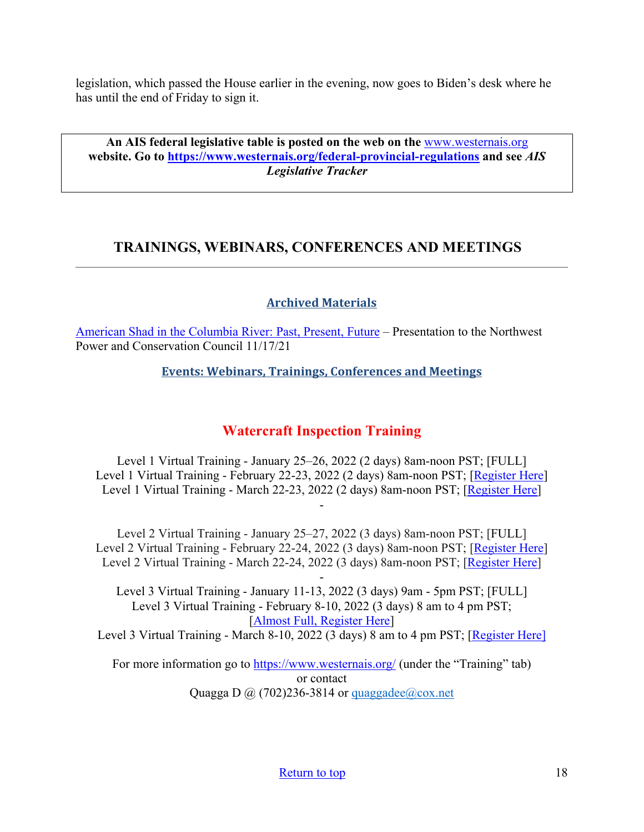legislation, which passed the House earlier in the evening, now goes to Biden's desk where he has until the end of Friday to sign it.

**An AIS federal legislative table is posted on the web on the** [www.westernais.org](http://www.westernais.org/) **website. Go to<https://www.westernais.org/federal-provincial-regulations> and see** *AIS Legislative Tracker*

## <span id="page-17-0"></span>**TRAININGS, WEBINARS, CONFERENCES AND MEETINGS**

## **Archived Materials**

[American Shad in the Columbia River: Past, Present, Future](https://nwcouncil.app.box.com/s/r7smxuwo9fgsat6v05kb8ir9snujblm3) – Presentation to the Northwest Power and Conservation Council 11/17/21

**Events: Webinars, Trainings, Conferences and Meetings**

## **Watercraft Inspection Training**

Level 1 Virtual Training - January 25–26, 2022 (2 days) 8am-noon PST; [FULL] Level 1 Virtual Training - February 22-23, 2022 (2 days) 8am-noon PST; [\[Register Here\]](https://us02web.zoom.us/meeting/register/tZYrfuCsqD4qHNE2BOiqfC0RIGgYVmJwGHlD) Level 1 Virtual Training - March 22-23, 2022 (2 days) 8am-noon PST; [\[Register Here\]](https://us02web.zoom.us/meeting/register/tZcpcO-hpz8jGNJ6Weax-__pDobzlIzmahMU) -

Level 2 Virtual Training - January 25–27, 2022 (3 days) 8am-noon PST; [FULL] Level 2 Virtual Training - February 22-24, 2022 (3 days) 8am-noon PST; [\[Register Here\]](https://us02web.zoom.us/meeting/register/tZYrfuCsqD4qHNE2BOiqfC0RIGgYVmJwGHlD) Level 2 Virtual Training - March 22-24, 2022 (3 days) 8am-noon PST; [\[Register Here\]](https://us02web.zoom.us/meeting/register/tZcpcO-hpz8jGNJ6Weax-__pDobzlIzmahMU)

- Level 3 Virtual Training - January 11-13, 2022 (3 days) 9am - 5pm PST; [FULL] Level 3 Virtual Training - February 8-10, 2022 (3 days) 8 am to 4 pm PST; [\[Almost Full, Register Here\]](https://us02web.zoom.us/meeting/register/tZYqd-6oqzwiEtW6Wi8APl6yvFnI3kX8wASM)

Level 3 Virtual Training - March 8-10, 2022 (3 days) 8 am to 4 pm PST; [\[Register Here\]](https://us02web.zoom.us/meeting/register/tZIqcOCspjgoGNZwELYrMT8J9RJzGDf94Aza)

For more information go to<https://www.westernais.org/> (under the "Training" tab) or contact Quagga D  $\omega$  (702)236-3814 or quaggadee $\omega$ cox.net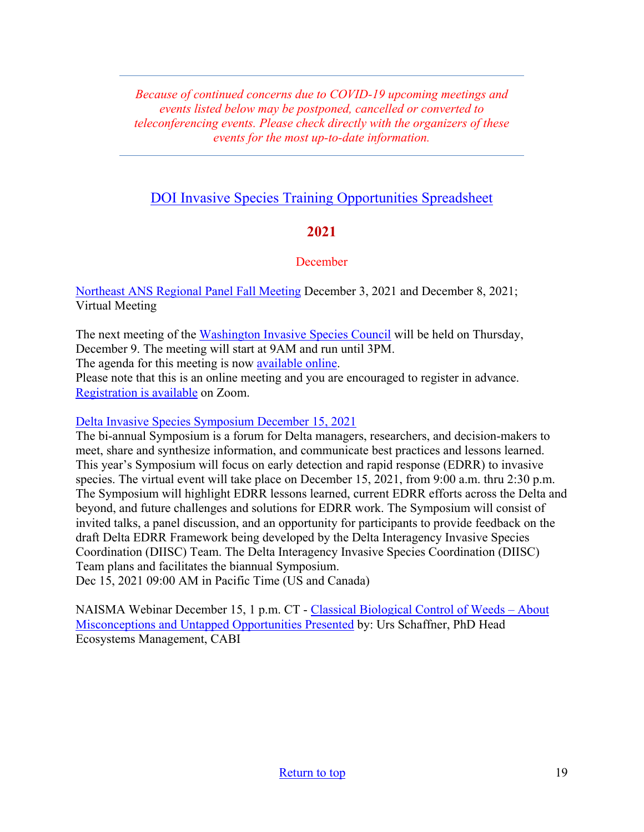*Because of continued concerns due to COVID-19 upcoming meetings and events listed below may be postponed, cancelled or converted to teleconferencing events. Please check directly with the organizers of these events for the most up-to-date information.* 

## [DOI Invasive Species Training Opportunities Spreadsheet](https://www.doi.gov/sites/doi.gov/files/doi-invasive-species-training-opportunities.pdf)

## **2021**

#### **December**

[Northeast ANS Regional Panel Fall Meeting](https://www.northeastans.org/index.php/home/meetings-and-panel-information/?utm_medium=email&utm_source=govdelivery) December 3, 2021 and December 8, 2021; Virtual Meeting

The next meeting of the [Washington Invasive Species Council](https://invasivespecies.wa.gov/) will be held on Thursday, December 9. The meeting will start at 9AM and run until 3PM.

The agenda for this meeting is now [available online.](https://invasivespecies.wa.gov/wp-content/uploads/2021/11/Agenda-December-9-2021.pdf)

Please note that this is an online meeting and you are encouraged to register in advance. [Registration is available](https://zoom.us/webinar/register/WN_KFOO6oz9Sx2AmvJgs7S0eA) on Zoom.

#### [Delta Invasive Species Symposium December 15, 2021](https://us06web.zoom.us/webinar/register/WN_ySWjLFgPRUuRI-aM8PNQYQ)

The bi-annual Symposium is a forum for Delta managers, researchers, and decision-makers to meet, share and synthesize information, and communicate best practices and lessons learned. This year's Symposium will focus on early detection and rapid response (EDRR) to invasive species. The virtual event will take place on December 15, 2021, from 9:00 a.m. thru 2:30 p.m. The Symposium will highlight EDRR lessons learned, current EDRR efforts across the Delta and beyond, and future challenges and solutions for EDRR work. The Symposium will consist of invited talks, a panel discussion, and an opportunity for participants to provide feedback on the draft Delta EDRR Framework being developed by the Delta Interagency Invasive Species Coordination (DIISC) Team. The Delta Interagency Invasive Species Coordination (DIISC) Team plans and facilitates the biannual Symposium. Dec 15, 2021 09:00 AM in Pacific Time (US and Canada)

NAISMA Webinar December 15, 1 p.m. CT - [Classical Biological Control of Weeds – About](https://us02web.zoom.us/webinar/register/WN_t2IRbQzlS26rIOM1cdT4SA?utm_medium=email&utm_source=govdelivery)  [Misconceptions and Untapped Opportunities Presented](https://us02web.zoom.us/webinar/register/WN_t2IRbQzlS26rIOM1cdT4SA?utm_medium=email&utm_source=govdelivery) by: Urs Schaffner, PhD Head Ecosystems Management, CABI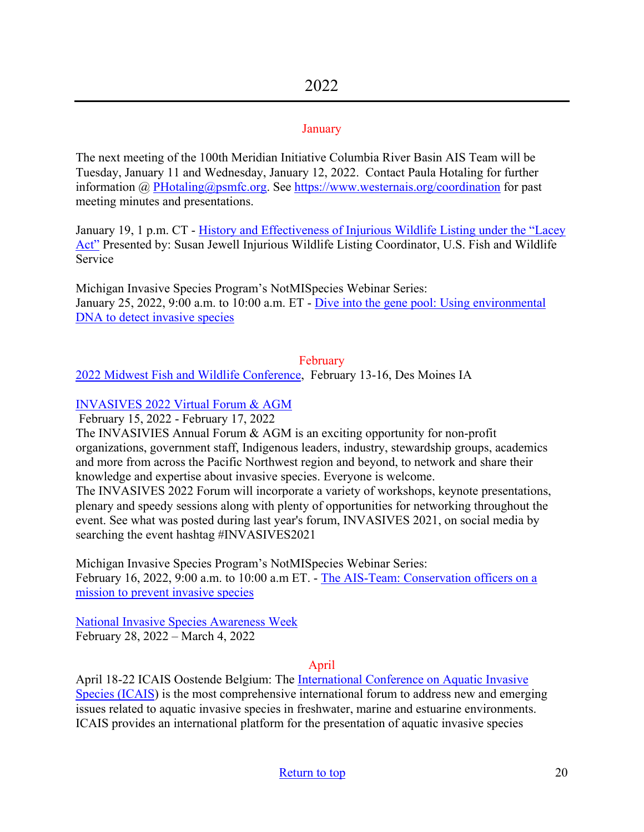#### **January**

The next meeting of the 100th Meridian Initiative Columbia River Basin AIS Team will be Tuesday, January 11 and Wednesday, January 12, 2022.Contact Paula Hotaling for further information @ [PHotaling@psmfc.org.](mailto:PHotaling@psmfc.org) See<https://www.westernais.org/coordination>for past meeting minutes and presentations.

January 19, 1 p.m. CT - [History and Effectiveness of Injurious Wildlife Listing under the "Lacey](https://us02web.zoom.us/webinar/register/WN_CWioD48QTUKCGxz1rZxryw?utm_medium=email&utm_source=govdelivery)  [Act"](https://us02web.zoom.us/webinar/register/WN_CWioD48QTUKCGxz1rZxryw?utm_medium=email&utm_source=govdelivery) Presented by: Susan Jewell Injurious Wildlife Listing Coordinator, U.S. Fish and Wildlife Service

Michigan Invasive Species Program's NotMISpecies Webinar Series: January 25, 2022, 9:00 a.m. to 10:00 a.m. ET - [Dive into the gene pool: Using environmental](https://register.gotowebinar.com/register/2578339792420598797?utm_medium=email&utm_source=govdelivery)  [DNA to detect invasive species](https://register.gotowebinar.com/register/2578339792420598797?utm_medium=email&utm_source=govdelivery)

#### February

[2022 Midwest Fish and Wildlife Conference,](http://www.midwestfw.org/html/call-for-symposia.shtml) February 13-16, Des Moines IA

#### [INVASIVES 2022 Virtual Forum & AGM](https://pheedloop.com/invasives2022/site/home/)

February 15, 2022 - February 17, 2022

The INVASIVIES Annual Forum & AGM is an exciting opportunity for non-profit organizations, government staff, Indigenous leaders, industry, stewardship groups, academics and more from across the Pacific Northwest region and beyond, to network and share their knowledge and expertise about invasive species. Everyone is welcome.

The INVASIVES 2022 Forum will incorporate a variety of workshops, keynote presentations, plenary and speedy sessions along with plenty of opportunities for networking throughout the event. See what was posted during last year's forum, INVASIVES 2021, on social media by searching the event hashtag #INVASIVES2021

Michigan Invasive Species Program's NotMISpecies Webinar Series: February 16, 2022, 9:00 a.m. to 10:00 a.m ET. - [The AIS-Team: Conservation officers on a](https://register.gotowebinar.com/register/4837962631337528333?utm_medium=email&utm_source=govdelivery)  [mission to prevent invasive species](https://register.gotowebinar.com/register/4837962631337528333?utm_medium=email&utm_source=govdelivery)

[National Invasive Species Awareness Week](https://www.nisaw.org/?utm_medium=email&utm_source=govdelivery) February 28, 2022 – March 4, 2022

#### April

April 18-22 ICAIS Oostende Belgium: The International Conference on Aquatic Invasive [Species \(ICAIS\)](http://www.icais.org/) is the most comprehensive international forum to address new and emerging issues related to aquatic invasive species in freshwater, marine and estuarine environments. ICAIS provides an international platform for the presentation of aquatic invasive species